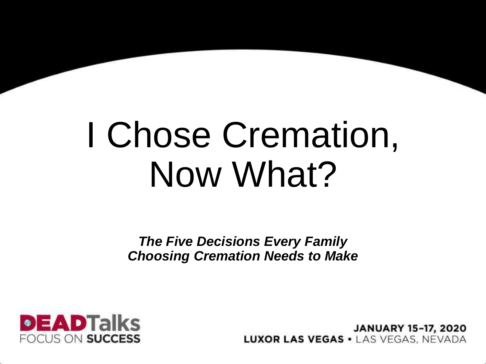# I Chose Cremation, Now What?

*The Five Decisions Every Family Choosing Cremation Needs to Make*



**JANUARY 15-17, 2020 LUXOR LAS VEGAS · LAS VEGAS. NEVADA**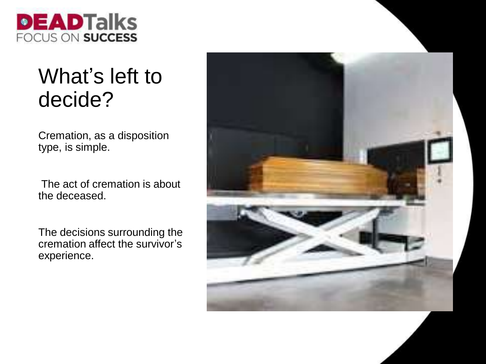

#### What's left to decide?

Cremation, as a disposition type, is simple.

The act of cremation is about the deceased.

The decisions surrounding the cremation affect the survivor's experience.

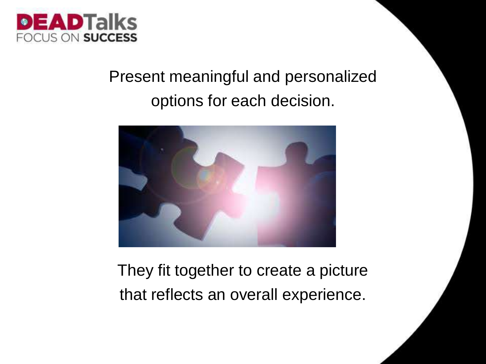

#### Present meaningful and personalized options for each decision.



They fit together to create a picture that reflects an overall experience.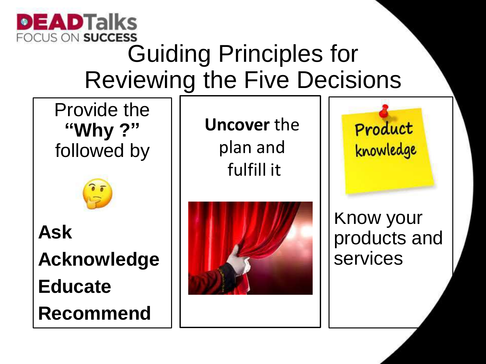

### Guiding Principles for Reviewing the Five Decisions

Provide the **"Why ?"**  followed by



**Ask Acknowledge Educate Recommend** 

**Uncover** the plan and fulfill it



Product knowledge

Know your products and services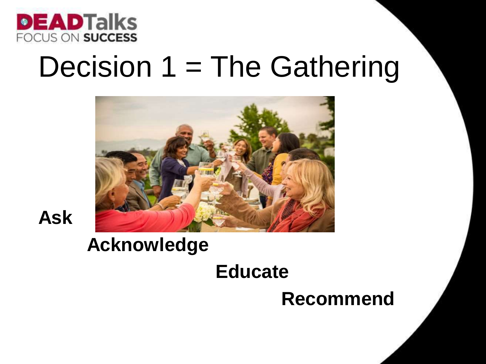

## Decision 1 = The Gathering





#### **Acknowledge**

#### **Educate**

#### **Recommend**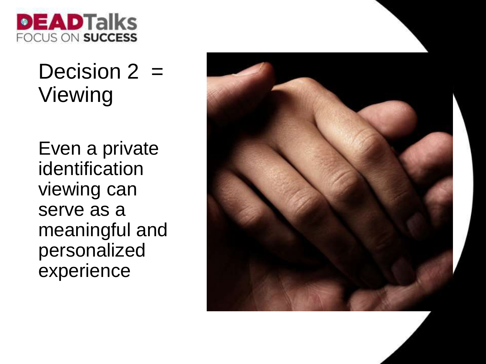

#### Decision  $2 =$ Viewing

Even a private identification viewing can serve as a meaningful and personalized experience

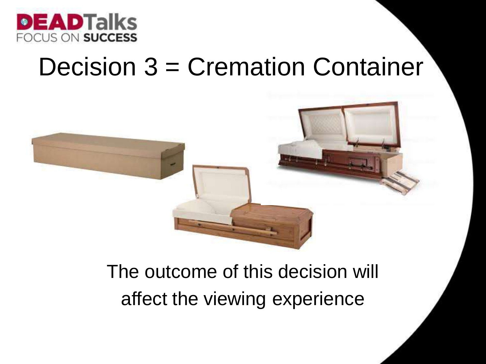

## Decision 3 = Cremation Container



#### The outcome of this decision will affect the viewing experience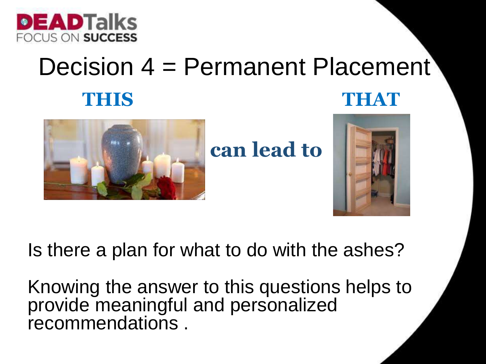

### Decision 4 = Permanent Placement **THEIS THEIR THEIR THEIR THEIR THEIR THEIR THEIR THEIR THEIR THEIR THEIR THEIR THEIR THEIR THEIR THEIR THEIR THEIR THEIR THEIR THEIR THEIR THEIR THEIR THEIR THEIR THEIR THEIR THEIR THEIR THEIR THEIR THEIR THEIR THEIR THEIR**



**can lead to**



Is there a plan for what to do with the ashes?

Knowing the answer to this questions helps to provide meaningful and personalized recommendations .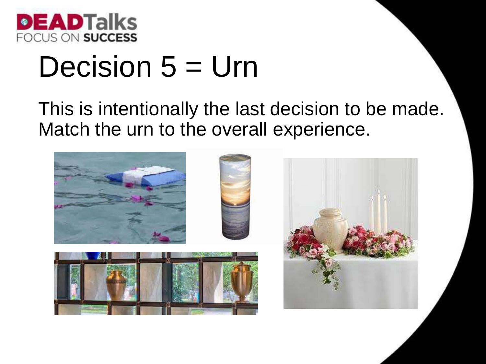

## Decision  $5 = Urn$

This is intentionally the last decision to be made. Match the urn to the overall experience.

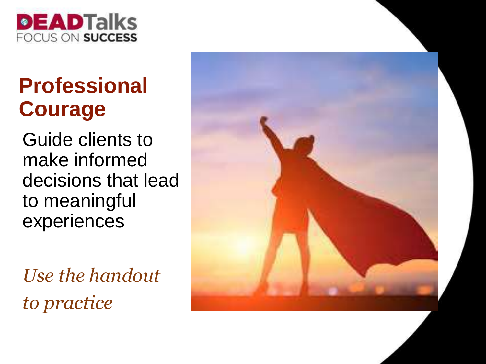

### **Professional Courage**

Guide clients to make informed decisions that lead to meaningful experiences

*Use the handout to practice*